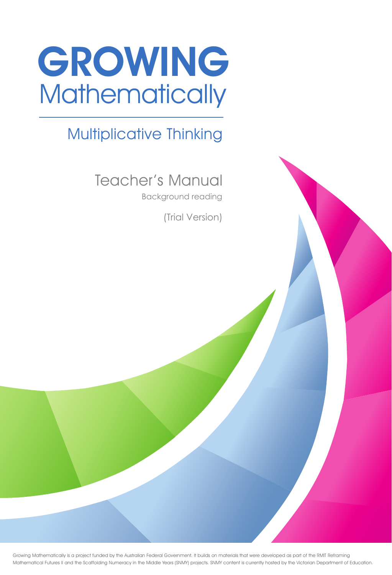

# Multiplicative Thinking

Teacher's Manual

Background reading<br>(Trial Version)

Growing Mathematically is a project funded by the Australian Federal Government. It builds on materials that were developed as part of the RMIT Reframing Mathematical Futures II and the Scaffolding Numeracy in the Middle Years (SNMY) projects. SNMY content is currently hosted by the Victorian Department of Education.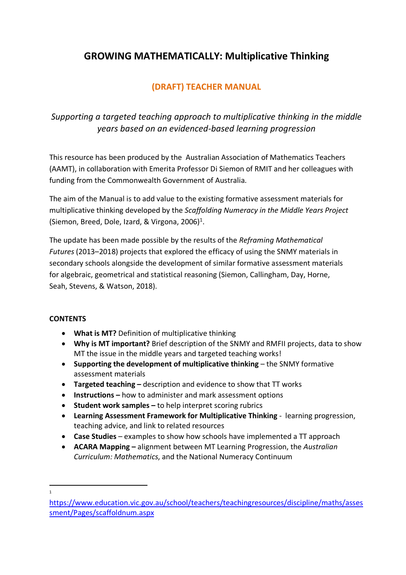## **GROWING MATHEMATICALLY: Multiplicative Thinking**

## **(DRAFT) TEACHER MANUAL**

## *Supporting a targeted teaching approach to multiplicative thinking in the middle years based on an evidenced-based learning progression*

This resource has been produced by the Australian Association of Mathematics Teachers (AAMT), in collaboration with Emerita Professor Di Siemon of RMIT and her colleagues with funding from the Commonwealth Government of Australia.

The aim of the Manual is to add value to the existing formative assessment materials for multiplicative thinking developed by the *Scaffolding Numeracy in the Middle Years Project* (Siemon, Breed, Dole, Izard, & Virgona, 2006)<sup>1</sup>.

The update has been made possible by the results of the *Reframing Mathematical Futures* (2013–2018) projects that explored the efficacy of using the SNMY materials in secondary schools alongside the development of similar formative assessment materials for algebraic, geometrical and statistical reasoning (Siemon, Callingham, Day, Horne, Seah, Stevens, & Watson, 2018).

### **CONTENTS**

- **What is MT?** Definition of multiplicative thinking
- **Why is MT important?** Brief description of the SNMY and RMFII projects, data to show MT the issue in the middle years and targeted teaching works!
- **Supporting the development of multiplicative thinking** the SNMY formative assessment materials
- **Targeted teaching** description and evidence to show that TT works
- **Instructions** how to administer and mark assessment options
- **Student work samples** to help interpret scoring rubrics
- **Learning Assessment Framework for Multiplicative Thinking** learning progression, teaching advice, and link to related resources
- **Case Studies** examples to show how schools have implemented a TT approach
- **ACARA Mapping** alignment between MT Learning Progression, the *Australian Curriculum: Mathematics*, and the National Numeracy Continuum

 $\overline{a}$ 1

https://www.education.vic.gov.au/school/teachers/teachingresources/discipline/maths/asses sment/Pages/scaffoldnum.aspx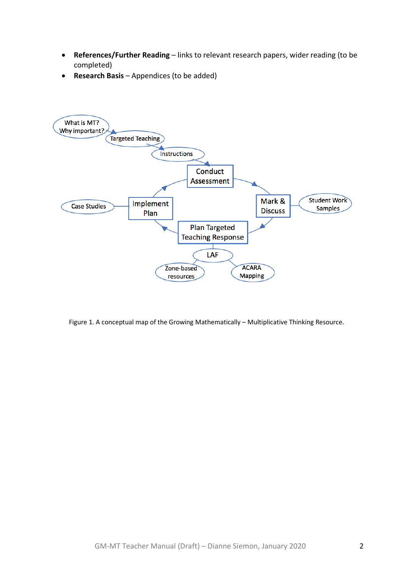- **References/Further Reading** links to relevant research papers, wider reading (to be completed)
- **Research Basis** Appendices (to be added)



Figure 1. A conceptual map of the Growing Mathematically – Multiplicative Thinking Resource.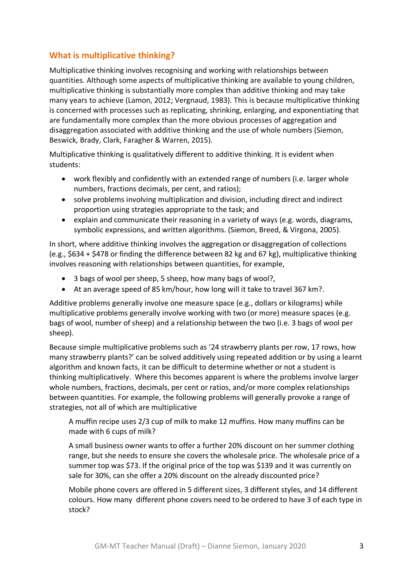## **What is multiplicative thinking?**

Multiplicative thinking involves recognising and working with relationships between quantities. Although some aspects of multiplicative thinking are available to young children, multiplicative thinking is substantially more complex than additive thinking and may take many years to achieve (Lamon, 2012; Vergnaud, 1983). This is because multiplicative thinking is concerned with processes such as replicating, shrinking, enlarging, and exponentiating that are fundamentally more complex than the more obvious processes of aggregation and disaggregation associated with additive thinking and the use of whole numbers (Siemon, Beswick, Brady, Clark, Faragher & Warren, 2015).

Multiplicative thinking is qualitatively different to additive thinking. It is evident when students:

- work flexibly and confidently with an extended range of numbers (i.e. larger whole numbers, fractions decimals, per cent, and ratios);
- solve problems involving multiplication and division, including direct and indirect proportion using strategies appropriate to the task; and
- explain and communicate their reasoning in a variety of ways (e.g. words, diagrams, symbolic expressions, and written algorithms. (Siemon, Breed, & Virgona, 2005).

In short, where additive thinking involves the aggregation or disaggregation of collections (e.g., \$634 + \$478 or finding the difference between 82 kg and 67 kg), multiplicative thinking involves reasoning with relationships between quantities, for example,

- 3 bags of wool per sheep, 5 sheep, how many bags of wool?,
- At an average speed of 85 km/hour, how long will it take to travel 367 km?.

Additive problems generally involve one measure space (e.g., dollars or kilograms) while multiplicative problems generally involve working with two (or more) measure spaces (e.g. bags of wool, number of sheep) and a relationship between the two (i.e. 3 bags of wool per sheep).

Because simple multiplicative problems such as '24 strawberry plants per row, 17 rows, how many strawberry plants?' can be solved additively using repeated addition or by using a learnt algorithm and known facts, it can be difficult to determine whether or not a student is thinking multiplicatively. Where this becomes apparent is where the problems involve larger whole numbers, fractions, decimals, per cent or ratios, and/or more complex relationships between quantities. For example, the following problems will generally provoke a range of strategies, not all of which are multiplicative

A muffin recipe uses 2/3 cup of milk to make 12 muffins. How many muffins can be made with 6 cups of milk?

A small business owner wants to offer a further 20% discount on her summer clothing range, but she needs to ensure she covers the wholesale price. The wholesale price of a summer top was \$73. If the original price of the top was \$139 and it was currently on sale for 30%, can she offer a 20% discount on the already discounted price?

Mobile phone covers are offered in 5 different sizes, 3 different styles, and 14 different colours. How many different phone covers need to be ordered to have 3 of each type in stock?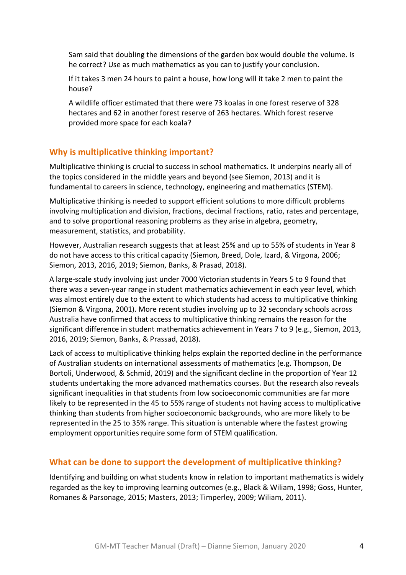Sam said that doubling the dimensions of the garden box would double the volume. Is he correct? Use as much mathematics as you can to justify your conclusion.

If it takes 3 men 24 hours to paint a house, how long will it take 2 men to paint the house?

A wildlife officer estimated that there were 73 koalas in one forest reserve of 328 hectares and 62 in another forest reserve of 263 hectares. Which forest reserve provided more space for each koala?

## **Why is multiplicative thinking important?**

Multiplicative thinking is crucial to success in school mathematics. It underpins nearly all of the topics considered in the middle years and beyond (see Siemon, 2013) and it is fundamental to careers in science, technology, engineering and mathematics (STEM).

Multiplicative thinking is needed to support efficient solutions to more difficult problems involving multiplication and division, fractions, decimal fractions, ratio, rates and percentage, and to solve proportional reasoning problems as they arise in algebra, geometry, measurement, statistics, and probability.

However, Australian research suggests that at least 25% and up to 55% of students in Year 8 do not have access to this critical capacity (Siemon, Breed, Dole, Izard, & Virgona, 2006; Siemon, 2013, 2016, 2019; Siemon, Banks, & Prasad, 2018).

A large-scale study involving just under 7000 Victorian students in Years 5 to 9 found that there was a seven-year range in student mathematics achievement in each year level, which was almost entirely due to the extent to which students had access to multiplicative thinking (Siemon & Virgona, 2001). More recent studies involving up to 32 secondary schools across Australia have confirmed that access to multiplicative thinking remains the reason for the significant difference in student mathematics achievement in Years 7 to 9 (e.g., Siemon, 2013, 2016, 2019; Siemon, Banks, & Prassad, 2018).

Lack of access to multiplicative thinking helps explain the reported decline in the performance of Australian students on international assessments of mathematics (e.g. Thompson, De Bortoli, Underwood, & Schmid, 2019) and the significant decline in the proportion of Year 12 students undertaking the more advanced mathematics courses. But the research also reveals significant inequalities in that students from low socioeconomic communities are far more likely to be represented in the 45 to 55% range of students not having access to multiplicative thinking than students from higher socioeconomic backgrounds, who are more likely to be represented in the 25 to 35% range. This situation is untenable where the fastest growing employment opportunities require some form of STEM qualification.

### **What can be done to support the development of multiplicative thinking?**

Identifying and building on what students know in relation to important mathematics is widely regarded as the key to improving learning outcomes (e.g., Black & Wiliam, 1998; Goss, Hunter, Romanes & Parsonage, 2015; Masters, 2013; Timperley, 2009; Wiliam, 2011).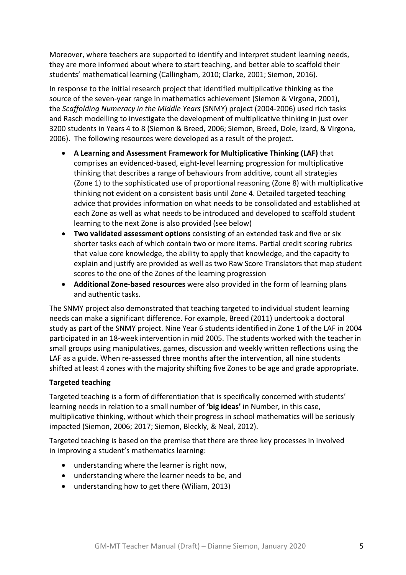Moreover, where teachers are supported to identify and interpret student learning needs, they are more informed about where to start teaching, and better able to scaffold their students' mathematical learning (Callingham, 2010; Clarke, 2001; Siemon, 2016).

In response to the initial research project that identified multiplicative thinking as the source of the seven-year range in mathematics achievement (Siemon & Virgona, 2001), the *Scaffolding Numeracy in the Middle Years* (SNMY) project (2004-2006) used rich tasks and Rasch modelling to investigate the development of multiplicative thinking in just over 3200 students in Years 4 to 8 (Siemon & Breed, 2006; Siemon, Breed, Dole, Izard, & Virgona, 2006). The following resources were developed as a result of the project.

- **A Learning and Assessment Framework for Multiplicative Thinking (LAF)** that comprises an evidenced-based, eight-level learning progression for multiplicative thinking that describes a range of behaviours from additive, count all strategies (Zone 1) to the sophisticated use of proportional reasoning (Zone 8) with multiplicative thinking not evident on a consistent basis until Zone 4. Detailed targeted teaching advice that provides information on what needs to be consolidated and established at each Zone as well as what needs to be introduced and developed to scaffold student learning to the next Zone is also provided (see below)
- **Two validated assessment options** consisting of an extended task and five or six shorter tasks each of which contain two or more items. Partial credit scoring rubrics that value core knowledge, the ability to apply that knowledge, and the capacity to explain and justify are provided as well as two Raw Score Translators that map student scores to the one of the Zones of the learning progression
- **Additional Zone-based resources** were also provided in the form of learning plans and authentic tasks.

The SNMY project also demonstrated that teaching targeted to individual student learning needs can make a significant difference. For example, Breed (2011) undertook a doctoral study as part of the SNMY project. Nine Year 6 students identified in Zone 1 of the LAF in 2004 participated in an 18-week intervention in mid 2005. The students worked with the teacher in small groups using manipulatives, games, discussion and weekly written reflections using the LAF as a guide. When re-assessed three months after the intervention, all nine students shifted at least 4 zones with the majority shifting five Zones to be age and grade appropriate.

### **Targeted teaching**

Targeted teaching is a form of differentiation that is specifically concerned with students' learning needs in relation to a small number of **'big ideas'** in Number, in this case, multiplicative thinking, without which their progress in school mathematics will be seriously impacted (Siemon, 2006; 2017; Siemon, Bleckly, & Neal, 2012).

Targeted teaching is based on the premise that there are three key processes in involved in improving a student's mathematics learning:

- understanding where the learner is right now,
- understanding where the learner needs to be, and
- understanding how to get there (Wiliam, 2013)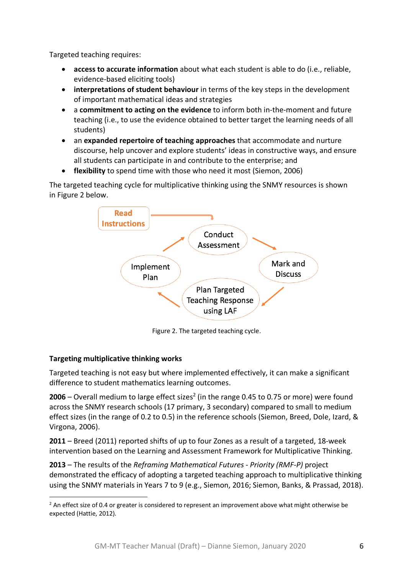Targeted teaching requires:

- **access to accurate information** about what each student is able to do (i.e., reliable, evidence-based eliciting tools)
- **interpretations of student behaviour** in terms of the key steps in the development of important mathematical ideas and strategies
- a **commitment to acting on the evidence** to inform both in-the-moment and future teaching (i.e., to use the evidence obtained to better target the learning needs of all students)
- an **expanded repertoire of teaching approaches** that accommodate and nurture discourse, help uncover and explore students' ideas in constructive ways, and ensure all students can participate in and contribute to the enterprise; and
- **flexibility** to spend time with those who need it most (Siemon, 2006)

The targeted teaching cycle for multiplicative thinking using the SNMY resources is shown in Figure 2 below.



Figure 2. The targeted teaching cycle.

### **Targeting multiplicative thinking works**

 $\overline{a}$ 

Targeted teaching is not easy but where implemented effectively, it can make a significant difference to student mathematics learning outcomes.

**2006** – Overall medium to large effect sizes<sup>2</sup> (in the range 0.45 to 0.75 or more) were found across the SNMY research schools (17 primary, 3 secondary) compared to small to medium effect sizes (in the range of 0.2 to 0.5) in the reference schools (Siemon, Breed, Dole, Izard, & Virgona, 2006).

**2011** – Breed (2011) reported shifts of up to four Zones as a result of a targeted, 18-week intervention based on the Learning and Assessment Framework for Multiplicative Thinking.

**2013** – The results of the *Reframing Mathematical Futures - Priority (RMF-P)* project demonstrated the efficacy of adopting a targeted teaching approach to multiplicative thinking using the SNMY materials in Years 7 to 9 (e.g., Siemon, 2016; Siemon, Banks, & Prassad, 2018).

 $<sup>2</sup>$  An effect size of 0.4 or greater is considered to represent an improvement above what might otherwise be</sup> expected (Hattie, 2012).